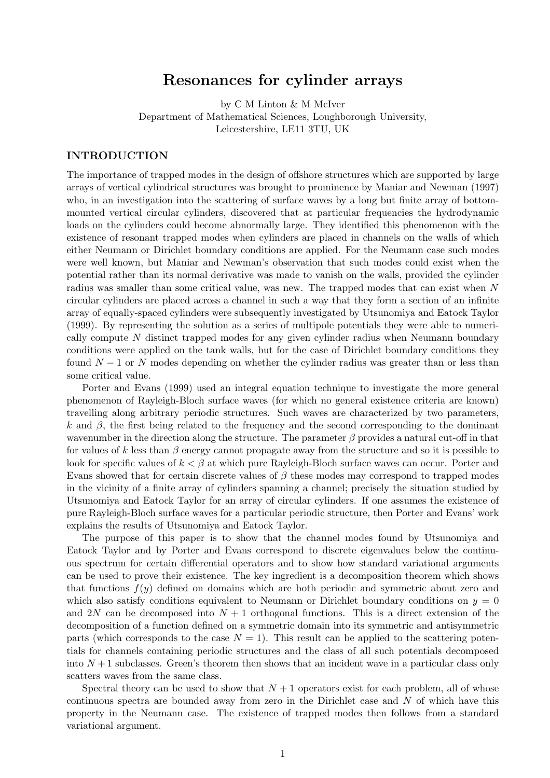# **Resonances for cylinder arrays**

by C M Linton & M McIver Department of Mathematical Sciences, Loughborough University, Leicestershire, LE11 3TU, UK

### **INTRODUCTION**

The importance of trapped modes in the design of offshore structures which are supported by large arrays of vertical cylindrical structures was brought to prominence by Maniar and Newman (1997) who, in an investigation into the scattering of surface waves by a long but finite array of bottommounted vertical circular cylinders, discovered that at particular frequencies the hydrodynamic loads on the cylinders could become abnormally large. They identified this phenomenon with the existence of resonant trapped modes when cylinders are placed in channels on the walls of which either Neumann or Dirichlet boundary conditions are applied. For the Neumann case such modes were well known, but Maniar and Newman's observation that such modes could exist when the potential rather than its normal derivative was made to vanish on the walls, provided the cylinder radius was smaller than some critical value, was new. The trapped modes that can exist when *N* circular cylinders are placed across a channel in such a way that they form a section of an infinite array of equally-spaced cylinders were subsequently investigated by Utsunomiya and Eatock Taylor (1999). By representing the solution as a series of multipole potentials they were able to numerically compute *N* distinct trapped modes for any given cylinder radius when Neumann boundary conditions were applied on the tank walls, but for the case of Dirichlet boundary conditions they found *N* − 1 or *N* modes depending on whether the cylinder radius was greater than or less than some critical value.

Porter and Evans (1999) used an integral equation technique to investigate the more general phenomenon of Rayleigh-Bloch surface waves (for which no general existence criteria are known) travelling along arbitrary periodic structures. Such waves are characterized by two parameters,  $k$  and  $β$ , the first being related to the frequency and the second corresponding to the dominant wavenumber in the direction along the structure. The parameter *β* provides a natural cut-off in that for values of k less than  $\beta$  energy cannot propagate away from the structure and so it is possible to look for specific values of  $k < \beta$  at which pure Rayleigh-Bloch surface waves can occur. Porter and Evans showed that for certain discrete values of *β* these modes may correspond to trapped modes in the vicinity of a finite array of cylinders spanning a channel; precisely the situation studied by Utsunomiya and Eatock Taylor for an array of circular cylinders. If one assumes the existence of pure Rayleigh-Bloch surface waves for a particular periodic structure, then Porter and Evans' work explains the results of Utsunomiya and Eatock Taylor.

The purpose of this paper is to show that the channel modes found by Utsunomiya and Eatock Taylor and by Porter and Evans correspond to discrete eigenvalues below the continuous spectrum for certain differential operators and to show how standard variational arguments can be used to prove their existence. The key ingredient is a decomposition theorem which shows that functions *f*(*y*) defined on domains which are both periodic and symmetric about zero and which also satisfy conditions equivalent to Neumann or Dirichlet boundary conditions on  $y = 0$ and 2*N* can be decomposed into  $N+1$  orthogonal functions. This is a direct extension of the decomposition of a function defined on a symmetric domain into its symmetric and antisymmetric parts (which corresponds to the case  $N = 1$ ). This result can be applied to the scattering potentials for channels containing periodic structures and the class of all such potentials decomposed into  $N+1$  subclasses. Green's theorem then shows that an incident wave in a particular class only scatters waves from the same class.

Spectral theory can be used to show that  $N+1$  operators exist for each problem, all of whose continuous spectra are bounded away from zero in the Dirichlet case and *N* of which have this property in the Neumann case. The existence of trapped modes then follows from a standard variational argument.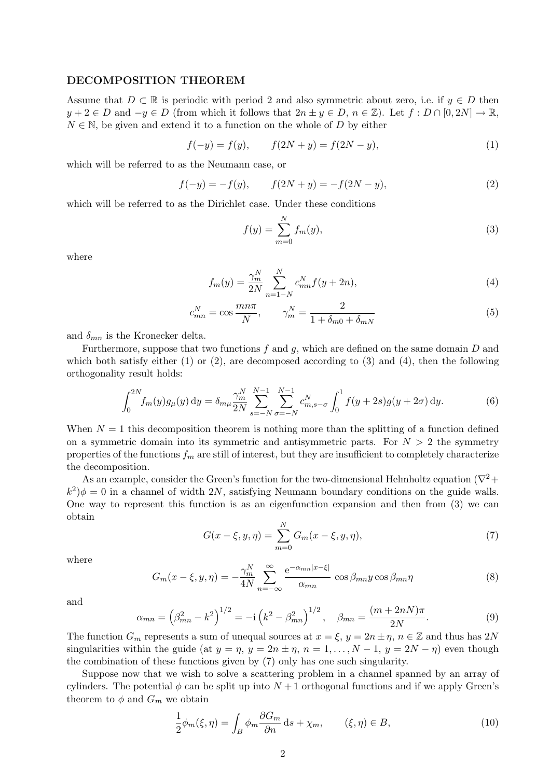#### **DECOMPOSITION THEOREM**

Assume that  $D \subset \mathbb{R}$  is periodic with period 2 and also symmetric about zero, i.e. if  $y \in D$  then *y* + 2 ∈ *D* and  $-y \in D$  (from which it follows that  $2n \pm y \in D$ ,  $n \in \mathbb{Z}$ ). Let  $f : D \cap [0, 2N] \rightarrow \mathbb{R}$ ,  $N \in \mathbb{N}$ , be given and extend it to a function on the whole of *D* by either

$$
f(-y) = f(y), \qquad f(2N + y) = f(2N - y), \tag{1}
$$

which will be referred to as the Neumann case, or

$$
f(-y) = -f(y), \qquad f(2N + y) = -f(2N - y), \tag{2}
$$

which will be referred to as the Dirichlet case. Under these conditions

$$
f(y) = \sum_{m=0}^{N} f_m(y),
$$
 (3)

where

$$
f_m(y) = \frac{\gamma_m^N}{2N} \sum_{n=1-N}^N c_{mn}^N f(y+2n),
$$
\n(4)

$$
c_{mn}^N = \cos \frac{mn\pi}{N}, \qquad \gamma_m^N = \frac{2}{1 + \delta_{m0} + \delta_{mN}}
$$
(5)

and  $\delta_{mn}$  is the Kronecker delta.

Furthermore, suppose that two functions *f* and *g*, which are defined on the same domain *D* and which both satisfy either (1) or (2), are decomposed according to (3) and (4), then the following orthogonality result holds:

$$
\int_0^{2N} f_m(y) g_\mu(y) \, \mathrm{d}y = \delta_{m\mu} \frac{\gamma_m^N}{2N} \sum_{s=-N}^{N-1} \sum_{\sigma=-N}^{N-1} c_{m,s-\sigma}^N \int_0^1 f(y+2s) g(y+2\sigma) \, \mathrm{d}y. \tag{6}
$$

When  $N = 1$  this decomposition theorem is nothing more than the splitting of a function defined on a symmetric domain into its symmetric and antisymmetric parts. For  $N > 2$  the symmetry properties of the functions  $f_m$  are still of interest, but they are insufficient to completely characterize the decomposition.

As an example, consider the Green's function for the two-dimensional Helmholtz equation ( $\nabla^2$ +  $k^2$ ) $\phi = 0$  in a channel of width 2*N*, satisfying Neumann boundary conditions on the guide walls. One way to represent this function is as an eigenfunction expansion and then from (3) we can obtain

$$
G(x - \xi, y, \eta) = \sum_{m=0}^{N} G_m(x - \xi, y, \eta),
$$
\n(7)

where

$$
G_m(x-\xi, y, \eta) = -\frac{\gamma_m^N}{4N} \sum_{n=-\infty}^{\infty} \frac{e^{-\alpha_{mn}|x-\xi|}}{\alpha_{mn}} \cos \beta_{mn} y \cos \beta_{mn} \eta \tag{8}
$$

and

$$
\alpha_{mn} = \left(\beta_{mn}^2 - k^2\right)^{1/2} = -i\left(k^2 - \beta_{mn}^2\right)^{1/2}, \quad \beta_{mn} = \frac{(m+2nN)\pi}{2N}.
$$
\n(9)

The function  $G_m$  represents a sum of unequal sources at  $x = \xi$ ,  $y = 2n \pm \eta$ ,  $n \in \mathbb{Z}$  and thus has 2*N* singularities within the guide (at  $y = \eta$ ,  $y = 2n \pm \eta$ ,  $n = 1, \ldots, N-1$ ,  $y = 2N - \eta$ ) even though the combination of these functions given by (7) only has one such singularity.

Suppose now that we wish to solve a scattering problem in a channel spanned by an array of cylinders. The potential  $\phi$  can be split up into  $N+1$  orthogonal functions and if we apply Green's theorem to  $\phi$  and  $G_m$  we obtain

$$
\frac{1}{2}\phi_m(\xi,\eta) = \int_B \phi_m \frac{\partial G_m}{\partial n} ds + \chi_m, \qquad (\xi,\eta) \in B,\tag{10}
$$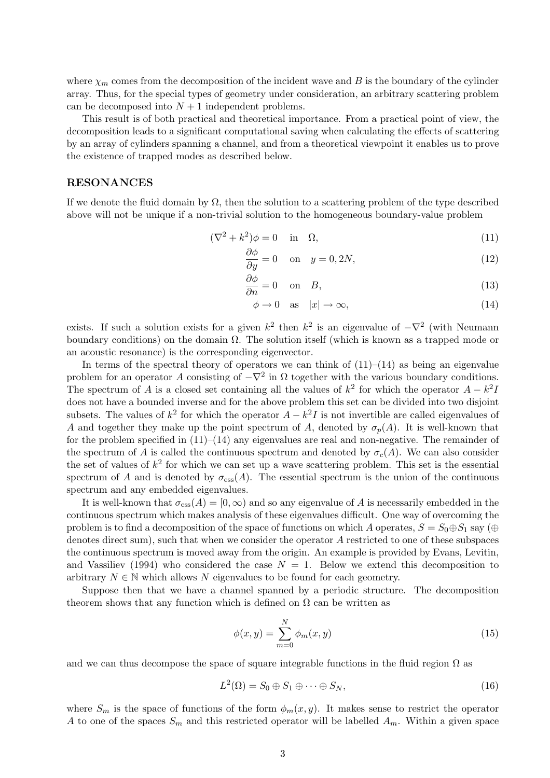where  $\chi_m$  comes from the decomposition of the incident wave and *B* is the boundary of the cylinder array. Thus, for the special types of geometry under consideration, an arbitrary scattering problem can be decomposed into  $N+1$  independent problems.

This result is of both practical and theoretical importance. From a practical point of view, the decomposition leads to a significant computational saving when calculating the effects of scattering by an array of cylinders spanning a channel, and from a theoretical viewpoint it enables us to prove the existence of trapped modes as described below.

#### **RESONANCES**

If we denote the fluid domain by  $\Omega$ , then the solution to a scattering problem of the type described above will not be unique if a non-trivial solution to the homogeneous boundary-value problem

$$
(\nabla^2 + k^2)\phi = 0 \quad \text{in} \quad \Omega,\tag{11}
$$

$$
\frac{\partial \phi}{\partial y} = 0 \quad \text{on} \quad y = 0, 2N,
$$
\n(12)

$$
\frac{\partial \phi}{\partial n} = 0 \quad \text{on} \quad B,\tag{13}
$$

$$
\phi \to 0 \quad \text{as} \quad |x| \to \infty,\tag{14}
$$

exists. If such a solution exists for a given  $k^2$  then  $k^2$  is an eigenvalue of  $-\nabla^2$  (with Neumann boundary conditions) on the domain Ω. The solution itself (which is known as a trapped mode or an acoustic resonance) is the corresponding eigenvector.

In terms of the spectral theory of operators we can think of  $(11)$ – $(14)$  as being an eigenvalue problem for an operator *A* consisting of  $-\nabla^2$  in  $\Omega$  together with the various boundary conditions. The spectrum of *A* is a closed set containing all the values of  $k^2$  for which the operator  $A - k^2I$ does not have a bounded inverse and for the above problem this set can be divided into two disjoint subsets. The values of  $k^2$  for which the operator  $A - k^2 I$  is not invertible are called eigenvalues of *A* and together they make up the point spectrum of *A*, denoted by  $\sigma_p(A)$ . It is well-known that for the problem specified in  $(11)–(14)$  any eigenvalues are real and non-negative. The remainder of the spectrum of *A* is called the continuous spectrum and denoted by  $\sigma_c(A)$ . We can also consider the set of values of  $k^2$  for which we can set up a wave scattering problem. This set is the essential spectrum of *A* and is denoted by  $\sigma_{\text{ess}}(A)$ . The essential spectrum is the union of the continuous spectrum and any embedded eigenvalues.

It is well-known that  $\sigma_{\rm ess}(A) = [0, \infty)$  and so any eigenvalue of A is necessarily embedded in the continuous spectrum which makes analysis of these eigenvalues difficult. One way of overcoming the problem is to find a decomposition of the space of functions on which *A* operates,  $S = S_0 \oplus S_1$  say ( $\oplus$ denotes direct sum), such that when we consider the operator *A* restricted to one of these subspaces the continuous spectrum is moved away from the origin. An example is provided by Evans, Levitin, and Vassiliev (1994) who considered the case  $N = 1$ . Below we extend this decomposition to arbitrary  $N \in \mathbb{N}$  which allows N eigenvalues to be found for each geometry.

Suppose then that we have a channel spanned by a periodic structure. The decomposition theorem shows that any function which is defined on  $\Omega$  can be written as

$$
\phi(x,y) = \sum_{m=0}^{N} \phi_m(x,y)
$$
\n(15)

and we can thus decompose the space of square integrable functions in the fluid region  $\Omega$  as

$$
L^{2}(\Omega) = S_0 \oplus S_1 \oplus \cdots \oplus S_N, \qquad (16)
$$

where  $S_m$  is the space of functions of the form  $\phi_m(x, y)$ . It makes sense to restrict the operator *A* to one of the spaces  $S_m$  and this restricted operator will be labelled  $A_m$ . Within a given space